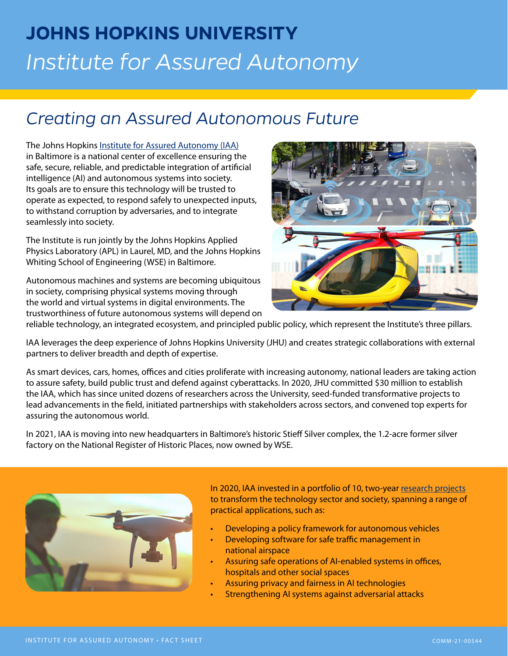# **JOHNS HOPKINS UNIVERSITY** *Institute for Assured Autonomy*

## *Creating an Assured Autonomous Future*

The Johns Hopkins [Institute for Assured Autonomy \(IAA\)](https://iaa.jhu.edu) in Baltimore is a national center of excellence ensuring the safe, secure, reliable, and predictable integration of artificial intelligence (AI) and autonomous systems into society. Its goals are to ensure this technology will be trusted to operate as expected, to respond safely to unexpected inputs, to withstand corruption by adversaries, and to integrate seamlessly into society.

The Institute is run jointly by the Johns Hopkins Applied Physics Laboratory (APL) in Laurel, MD, and the Johns Hopkins Whiting School of Engineering (WSE) in Baltimore.

Autonomous machines and systems are becoming ubiquitous in society, comprising physical systems moving through the world and virtual systems in digital environments. The trustworthiness of future autonomous systems will depend on



reliable technology, an integrated ecosystem, and principled public policy, which represent the Institute's three pillars.

IAA leverages the deep experience of Johns Hopkins University (JHU) and creates strategic collaborations with external partners to deliver breadth and depth of expertise.

As smart devices, cars, homes, offices and cities proliferate with increasing autonomy, national leaders are taking action to assure safety, build public trust and defend against cyberattacks. In 2020, JHU committed \$30 million to establish the IAA, which has since united dozens of researchers across the University, seed-funded transformative projects to lead advancements in the field, initiated partnerships with stakeholders across sectors, and convened top experts for assuring the autonomous world.

In 2021, IAA is moving into new headquarters in Baltimore's historic Stieff Silver complex, the 1.2-acre former silver factory on the National Register of Historic Places, now owned by WSE.



In 2020, IAA invested in a portfolio of 10, two-year [research projects](https://iaa.jhu.edu/iaa-researchers-advancing-safety-of-ai-autonomous-machines-in-society/) to transform the technology sector and society, spanning a range of practical applications, such as:

- Developing a policy framework for autonomous vehicles
- Developing software for safe traffic management in national airspace
- Assuring safe operations of AI-enabled systems in offices, hospitals and other social spaces
- Assuring privacy and fairness in AI technologies
- Strengthening AI systems against adversarial attacks